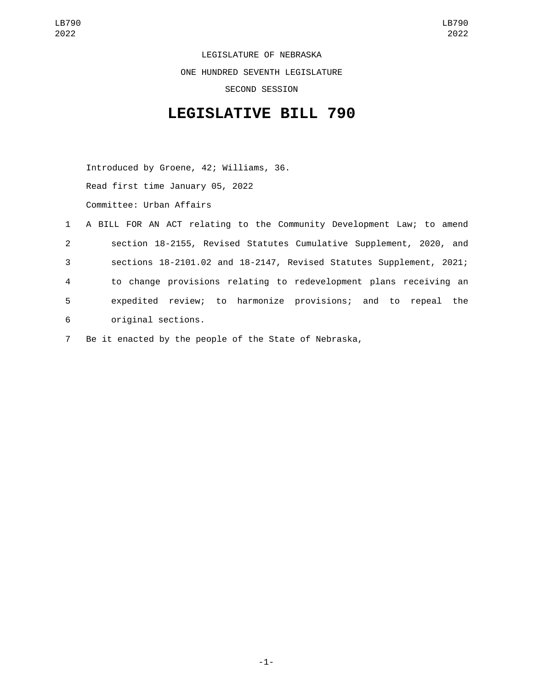LEGISLATURE OF NEBRASKA ONE HUNDRED SEVENTH LEGISLATURE SECOND SESSION

## **LEGISLATIVE BILL 790**

Introduced by Groene, 42; Williams, 36. Read first time January 05, 2022 Committee: Urban Affairs

|                | 1 A BILL FOR AN ACT relating to the Community Development Law; to amend |
|----------------|-------------------------------------------------------------------------|
| $\mathbf{2}$   | section 18-2155, Revised Statutes Cumulative Supplement, 2020, and      |
| 3              | sections 18-2101.02 and 18-2147, Revised Statutes Supplement, 2021;     |
| $\overline{4}$ | to change provisions relating to redevelopment plans receiving an       |
| 5              | expedited review; to harmonize provisions; and to repeal the            |
| 6              | original sections.                                                      |

7 Be it enacted by the people of the State of Nebraska,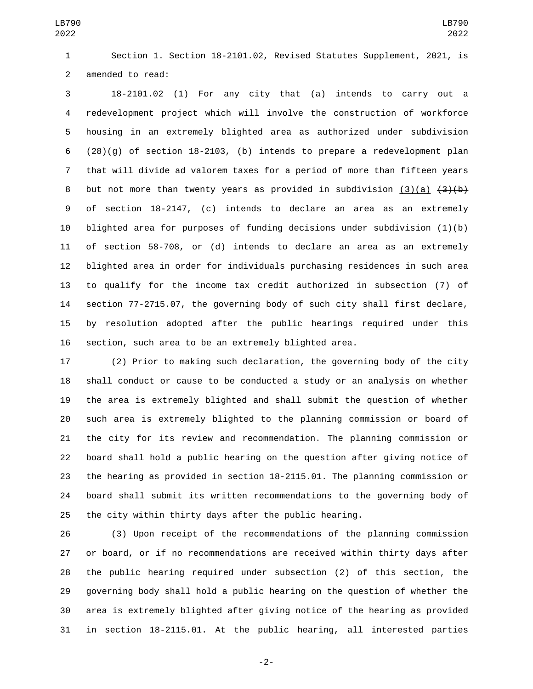LB790 

 Section 1. Section 18-2101.02, Revised Statutes Supplement, 2021, is 2 amended to read:

 18-2101.02 (1) For any city that (a) intends to carry out a redevelopment project which will involve the construction of workforce housing in an extremely blighted area as authorized under subdivision (28)(g) of section 18-2103, (b) intends to prepare a redevelopment plan that will divide ad valorem taxes for a period of more than fifteen years 8 but not more than twenty years as provided in subdivision (3)(a)  $\{3\}$ (b) of section 18-2147, (c) intends to declare an area as an extremely blighted area for purposes of funding decisions under subdivision (1)(b) of section 58-708, or (d) intends to declare an area as an extremely blighted area in order for individuals purchasing residences in such area to qualify for the income tax credit authorized in subsection (7) of section 77-2715.07, the governing body of such city shall first declare, by resolution adopted after the public hearings required under this section, such area to be an extremely blighted area.

 (2) Prior to making such declaration, the governing body of the city shall conduct or cause to be conducted a study or an analysis on whether the area is extremely blighted and shall submit the question of whether such area is extremely blighted to the planning commission or board of the city for its review and recommendation. The planning commission or board shall hold a public hearing on the question after giving notice of the hearing as provided in section 18-2115.01. The planning commission or board shall submit its written recommendations to the governing body of the city within thirty days after the public hearing.

 (3) Upon receipt of the recommendations of the planning commission or board, or if no recommendations are received within thirty days after the public hearing required under subsection (2) of this section, the governing body shall hold a public hearing on the question of whether the area is extremely blighted after giving notice of the hearing as provided in section 18-2115.01. At the public hearing, all interested parties

-2-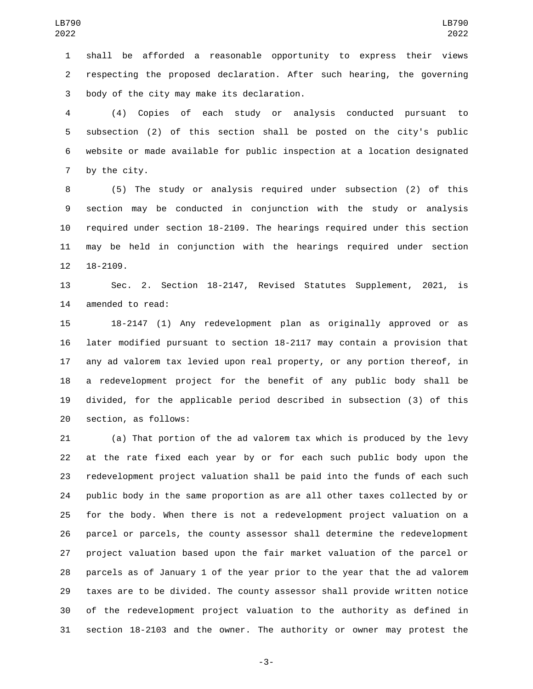shall be afforded a reasonable opportunity to express their views respecting the proposed declaration. After such hearing, the governing body of the city may make its declaration.3

 (4) Copies of each study or analysis conducted pursuant to subsection (2) of this section shall be posted on the city's public website or made available for public inspection at a location designated 7 by the city.

 (5) The study or analysis required under subsection (2) of this section may be conducted in conjunction with the study or analysis required under section 18-2109. The hearings required under this section may be held in conjunction with the hearings required under section 12 18-2109.

 Sec. 2. Section 18-2147, Revised Statutes Supplement, 2021, is 14 amended to read:

 18-2147 (1) Any redevelopment plan as originally approved or as later modified pursuant to section 18-2117 may contain a provision that any ad valorem tax levied upon real property, or any portion thereof, in a redevelopment project for the benefit of any public body shall be divided, for the applicable period described in subsection (3) of this 20 section, as follows:

 (a) That portion of the ad valorem tax which is produced by the levy at the rate fixed each year by or for each such public body upon the redevelopment project valuation shall be paid into the funds of each such public body in the same proportion as are all other taxes collected by or for the body. When there is not a redevelopment project valuation on a parcel or parcels, the county assessor shall determine the redevelopment project valuation based upon the fair market valuation of the parcel or parcels as of January 1 of the year prior to the year that the ad valorem taxes are to be divided. The county assessor shall provide written notice of the redevelopment project valuation to the authority as defined in section 18-2103 and the owner. The authority or owner may protest the

-3-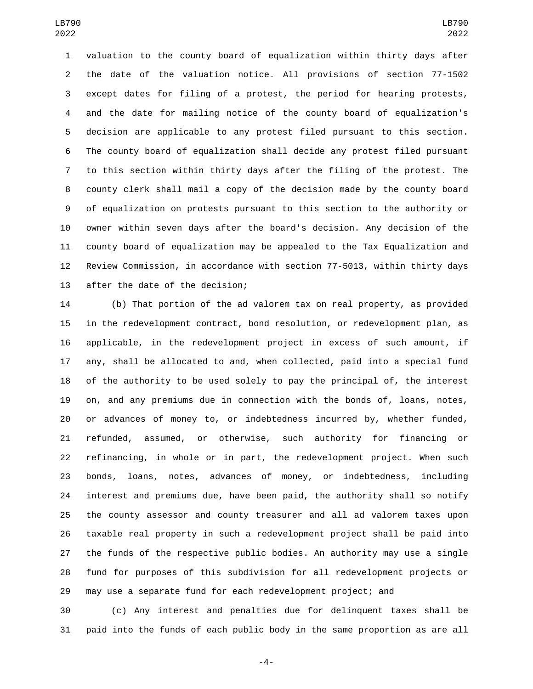valuation to the county board of equalization within thirty days after the date of the valuation notice. All provisions of section 77-1502 except dates for filing of a protest, the period for hearing protests, and the date for mailing notice of the county board of equalization's decision are applicable to any protest filed pursuant to this section. The county board of equalization shall decide any protest filed pursuant to this section within thirty days after the filing of the protest. The county clerk shall mail a copy of the decision made by the county board of equalization on protests pursuant to this section to the authority or owner within seven days after the board's decision. Any decision of the county board of equalization may be appealed to the Tax Equalization and Review Commission, in accordance with section 77-5013, within thirty days 13 after the date of the decision;

 (b) That portion of the ad valorem tax on real property, as provided in the redevelopment contract, bond resolution, or redevelopment plan, as applicable, in the redevelopment project in excess of such amount, if any, shall be allocated to and, when collected, paid into a special fund of the authority to be used solely to pay the principal of, the interest on, and any premiums due in connection with the bonds of, loans, notes, or advances of money to, or indebtedness incurred by, whether funded, refunded, assumed, or otherwise, such authority for financing or refinancing, in whole or in part, the redevelopment project. When such bonds, loans, notes, advances of money, or indebtedness, including interest and premiums due, have been paid, the authority shall so notify the county assessor and county treasurer and all ad valorem taxes upon taxable real property in such a redevelopment project shall be paid into the funds of the respective public bodies. An authority may use a single fund for purposes of this subdivision for all redevelopment projects or may use a separate fund for each redevelopment project; and

 (c) Any interest and penalties due for delinquent taxes shall be paid into the funds of each public body in the same proportion as are all

-4-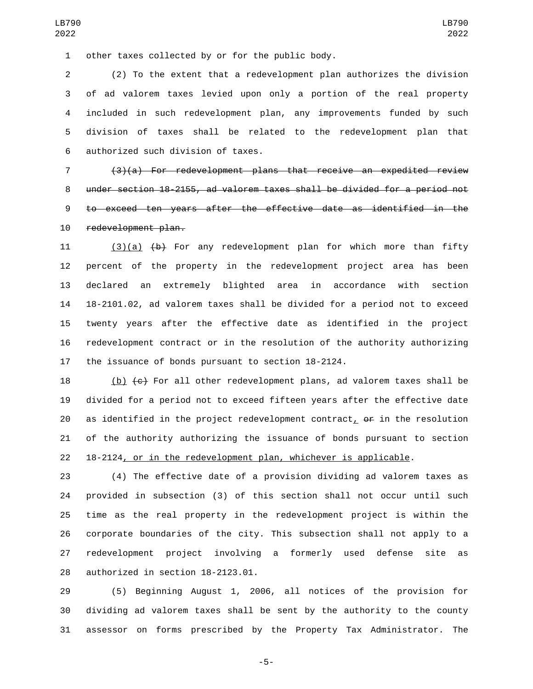other taxes collected by or for the public body.1

 (2) To the extent that a redevelopment plan authorizes the division of ad valorem taxes levied upon only a portion of the real property included in such redevelopment plan, any improvements funded by such division of taxes shall be related to the redevelopment plan that 6 authorized such division of taxes.

 (3)(a) For redevelopment plans that receive an expedited review under section 18-2155, ad valorem taxes shall be divided for a period not to exceed ten years after the effective date as identified in the 10 redevelopment plan.

11 (3)(a) (b) For any redevelopment plan for which more than fifty percent of the property in the redevelopment project area has been declared an extremely blighted area in accordance with section 18-2101.02, ad valorem taxes shall be divided for a period not to exceed twenty years after the effective date as identified in the project redevelopment contract or in the resolution of the authority authorizing the issuance of bonds pursuant to section 18-2124.

18 (b)  $\left\lbrace \epsilon \right\rbrace$  For all other redevelopment plans, ad valorem taxes shall be divided for a period not to exceed fifteen years after the effective date 20 as identified in the project redevelopment contract,  $\theta$  in the resolution of the authority authorizing the issuance of bonds pursuant to section 18-2124, or in the redevelopment plan, whichever is applicable.

 (4) The effective date of a provision dividing ad valorem taxes as provided in subsection (3) of this section shall not occur until such time as the real property in the redevelopment project is within the corporate boundaries of the city. This subsection shall not apply to a redevelopment project involving a formerly used defense site as 28 authorized in section  $18-2123.01$ .

 (5) Beginning August 1, 2006, all notices of the provision for dividing ad valorem taxes shall be sent by the authority to the county assessor on forms prescribed by the Property Tax Administrator. The

-5-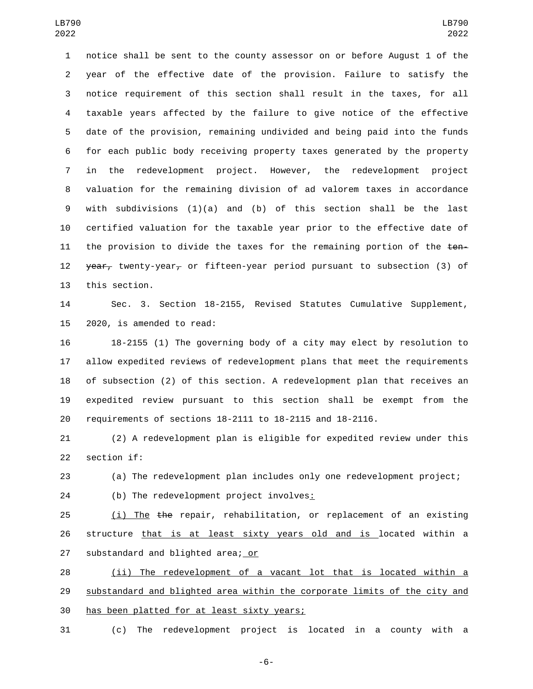notice shall be sent to the county assessor on or before August 1 of the year of the effective date of the provision. Failure to satisfy the notice requirement of this section shall result in the taxes, for all taxable years affected by the failure to give notice of the effective date of the provision, remaining undivided and being paid into the funds for each public body receiving property taxes generated by the property in the redevelopment project. However, the redevelopment project valuation for the remaining division of ad valorem taxes in accordance with subdivisions (1)(a) and (b) of this section shall be the last certified valuation for the taxable year prior to the effective date of 11 the provision to divide the taxes for the remaining portion of the  $t$ en-12 year, twenty-year, or fifteen-year period pursuant to subsection (3) of 13 this section.

 Sec. 3. Section 18-2155, Revised Statutes Cumulative Supplement, 15 2020, is amended to read:

 18-2155 (1) The governing body of a city may elect by resolution to allow expedited reviews of redevelopment plans that meet the requirements of subsection (2) of this section. A redevelopment plan that receives an expedited review pursuant to this section shall be exempt from the requirements of sections 18-2111 to 18-2115 and 18-2116.

 (2) A redevelopment plan is eligible for expedited review under this 22 section if:

(a) The redevelopment plan includes only one redevelopment project;

(b) The redevelopment project involves:24

25 (i) The the repair, rehabilitation, or replacement of an existing 26 structure that is at least sixty years old and is located within a 27 substandard and blighted area; or

 (ii) The redevelopment of a vacant lot that is located within a 29 substandard and blighted area within the corporate limits of the city and 30 has been platted for at least sixty years;

(c) The redevelopment project is located in a county with a

-6-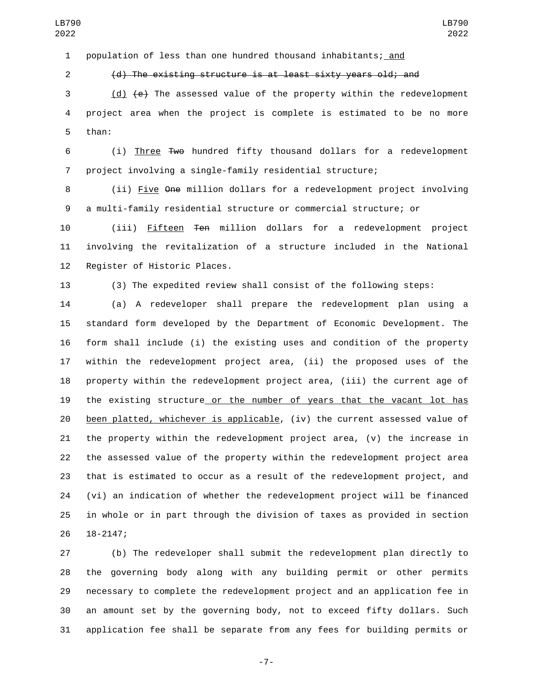population of less than one hundred thousand inhabitants; and

(d) The existing structure is at least sixty years old; and

 (d) (e) The assessed value of the property within the redevelopment project area when the project is complete is estimated to be no more 5 than:

 (i) Three Two hundred fifty thousand dollars for a redevelopment project involving a single-family residential structure;

 (ii) Five One million dollars for a redevelopment project involving a multi-family residential structure or commercial structure; or

 (iii) Fifteen Ten million dollars for a redevelopment project involving the revitalization of a structure included in the National 12 Register of Historic Places.

(3) The expedited review shall consist of the following steps:

 (a) A redeveloper shall prepare the redevelopment plan using a standard form developed by the Department of Economic Development. The form shall include (i) the existing uses and condition of the property within the redevelopment project area, (ii) the proposed uses of the property within the redevelopment project area, (iii) the current age of the existing structure or the number of years that the vacant lot has been platted, whichever is applicable, (iv) the current assessed value of the property within the redevelopment project area, (v) the increase in the assessed value of the property within the redevelopment project area that is estimated to occur as a result of the redevelopment project, and (vi) an indication of whether the redevelopment project will be financed in whole or in part through the division of taxes as provided in section 18-2147;26

 (b) The redeveloper shall submit the redevelopment plan directly to the governing body along with any building permit or other permits necessary to complete the redevelopment project and an application fee in an amount set by the governing body, not to exceed fifty dollars. Such application fee shall be separate from any fees for building permits or

-7-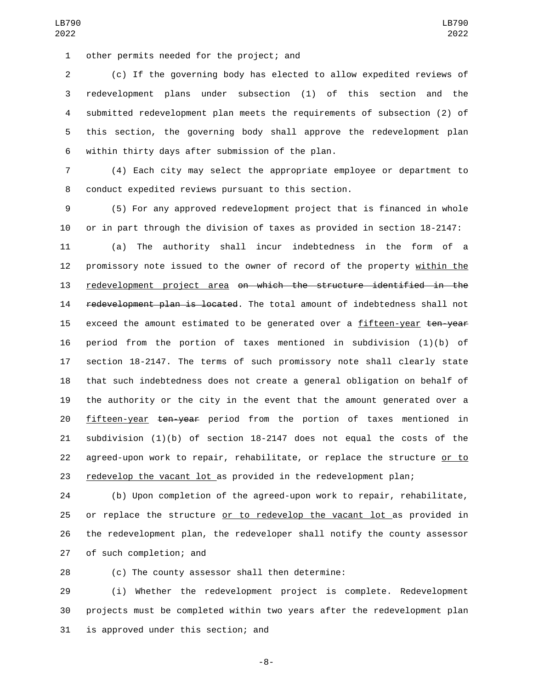1 other permits needed for the project; and

 (c) If the governing body has elected to allow expedited reviews of redevelopment plans under subsection (1) of this section and the submitted redevelopment plan meets the requirements of subsection (2) of this section, the governing body shall approve the redevelopment plan 6 within thirty days after submission of the plan.

 (4) Each city may select the appropriate employee or department to conduct expedited reviews pursuant to this section.

 (5) For any approved redevelopment project that is financed in whole or in part through the division of taxes as provided in section 18-2147:

 (a) The authority shall incur indebtedness in the form of a 12 promissory note issued to the owner of record of the property within the redevelopment project area on which the structure identified in the 14 redevelopment plan is located. The total amount of indebtedness shall not 15 exceed the amount estimated to be generated over a fifteen-year ten-year period from the portion of taxes mentioned in subdivision (1)(b) of section 18-2147. The terms of such promissory note shall clearly state that such indebtedness does not create a general obligation on behalf of the authority or the city in the event that the amount generated over a fifteen-year ten-year period from the portion of taxes mentioned in subdivision (1)(b) of section 18-2147 does not equal the costs of the 22 agreed-upon work to repair, rehabilitate, or replace the structure or to 23 redevelop the vacant lot as provided in the redevelopment plan;

 (b) Upon completion of the agreed-upon work to repair, rehabilitate, 25 or replace the structure or to redevelop the vacant lot as provided in the redevelopment plan, the redeveloper shall notify the county assessor 27 of such completion; and

(c) The county assessor shall then determine:

 (i) Whether the redevelopment project is complete. Redevelopment projects must be completed within two years after the redevelopment plan 31 is approved under this section; and

-8-